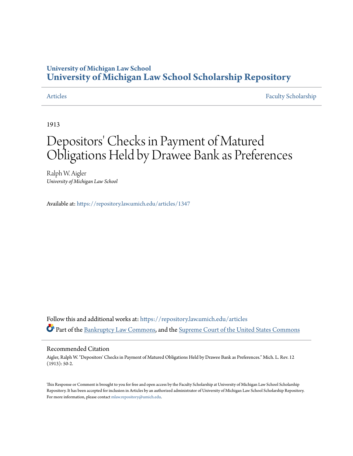### **University of Michigan Law School [University of Michigan Law School Scholarship Repository](https://repository.law.umich.edu?utm_source=repository.law.umich.edu%2Farticles%2F1347&utm_medium=PDF&utm_campaign=PDFCoverPages)**

[Articles](https://repository.law.umich.edu/articles?utm_source=repository.law.umich.edu%2Farticles%2F1347&utm_medium=PDF&utm_campaign=PDFCoverPages) [Faculty Scholarship](https://repository.law.umich.edu/faculty_scholarship?utm_source=repository.law.umich.edu%2Farticles%2F1347&utm_medium=PDF&utm_campaign=PDFCoverPages)

1913

## Depositors' Checks in Payment of Matured Obligations Held by Drawee Bank as Preferences

Ralph W. Aigler *University of Michigan Law School*

Available at: <https://repository.law.umich.edu/articles/1347>

Follow this and additional works at: [https://repository.law.umich.edu/articles](https://repository.law.umich.edu/articles?utm_source=repository.law.umich.edu%2Farticles%2F1347&utm_medium=PDF&utm_campaign=PDFCoverPages) Part of the [Bankruptcy Law Commons,](http://network.bepress.com/hgg/discipline/583?utm_source=repository.law.umich.edu%2Farticles%2F1347&utm_medium=PDF&utm_campaign=PDFCoverPages) and the [Supreme Court of the United States Commons](http://network.bepress.com/hgg/discipline/1350?utm_source=repository.law.umich.edu%2Farticles%2F1347&utm_medium=PDF&utm_campaign=PDFCoverPages)

### Recommended Citation

Aigler, Ralph W. "Depositors' Checks in Payment of Matured Obligations Held by Drawee Bank as Preferences." Mich. L. Rev. 12 (1913): 50-2.

This Response or Comment is brought to you for free and open access by the Faculty Scholarship at University of Michigan Law School Scholarship Repository. It has been accepted for inclusion in Articles by an authorized administrator of University of Michigan Law School Scholarship Repository. For more information, please contact [mlaw.repository@umich.edu](mailto:mlaw.repository@umich.edu).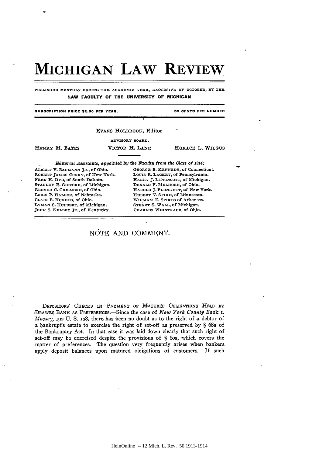# **MICHIGAN LAW REVIEW**

**PUBLISHED MONTHLY DURING TEE ACADEMIC** YEAR, **EXCLUSIVE OP** OCTOBER, BY **THE LAW FACULTY OF THE UNIVERSITY OF MICHIGAN**

**SUBSCRIPTION PRICE \$2.50 PER YEAR. 35 CENTS PER NUMBER**

vAzs HoLBRooK, Editor

**ADVISORY** BOARD.

**HENRY M.** BATZS

**VICTOR** H. LANE HORAcE **L.** WILGUS

*Editor ial Assistants, appointed by the Faculty from the Class of* 1914:

**ALBERT** V. **BAUMANN JR.,** of **Ohio.** ROBERT **JAMES CURRY, of New** York. **F1 RED** H. **DYE, of South Dakota.** STANLEY E. GIFFORD, of Michigan. **GROVER C. GRISMORE, of** Ohio. **LOUIS** P. HALLER, of Nebraska. **CLAIR** B. **HUGHES, of** Ohio. **LYMAN S. HULBERT,** of **Michigan. JOHN S. KELLEY** JR., of **Kentucky.**

**GEORGE** B. **KENNEDY, of Connecticut.** LOUIS R. LACKEY, of Pennsylvania. HARIY **J. LIPPINCOTT, of Michigan. DONALD** V. **MELHORN, of** Ohio. **HAROLD** J. **PLUNKETT, of New York. HUBERT** V. **SPIKE,** of **Minnesota. WILLIAM** F. **SPIKES of Arkansas. STUART S.** WALL, of **Michigan. CHARLES WEINTRAUB, of Ohio.**

#### NOTE AND COMMENT.

**DEPOSITORS' CHECKS** IN PAYAENT **OF** MATURED OBLIGATIONS **HaL** BY DRAWEE BANK AS PREFERENCES.-Since the case of *New York County Bank I*. *Massey, i92* U. S. 138, there has been no doubt as to the right of a debtor of a bankrupt's estate to exercise the right of set-off as preserved **by** § 68a of the Bankruptcy Act. In that case it was laid down dearly that such right **of** set-off may be exercised despite the provisions of  $\S$  60a, which covers the matter of preferences. The question very frequently arises when bankers apply deposit balances upon matured obligations of customers. **If** such

HeinOnline -- 12 Mich. L. Rev. 50 1913-1914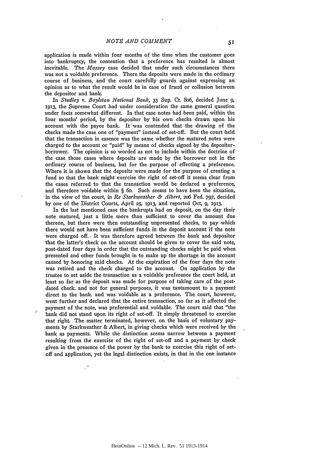application is made within four months of the time when the customer goes into bankruptcy, the contention that a preference has resulted is almost inevitable. The *Massey* case decided that under such circumstances there was not a voidable preference. There the deposits were made in the ordinary course of business, and the court carefully guards against expressing an opinion as to what the result would be in case of fraud or collusion between the depositor and bank.

In *Studley v. Boylston National Bank,* 33 Sup. Ct. 8o6, decided June **9, 1913,** the Supreme Court had under consideration the same general question under facts somewhat different. In that case notes had been paid, within the four months' period, by the depositor **by** his own checks drawn upon his account with the payee bank. It 'was contended that the drawing of the checks made the case one of "payment" instead of set-off. But the court held that the transaction in essence was the same whether the matured notes were charged to the account or "paid" by means of checks signed by the depositorborrower. The opinion is so worded as not to include within the doctrine of the case those cases where deposits are made by the borrower not in the ordinary course of business, but for the purpose of effecting a preference. Where it is shown that the deposits were made for the purpose of creating a fund so that the bank might exercise the right of set-off it seems clear from the cases referred to that the transaction would be declared a preference, and therefore voidable within § 6o. Such seems to have been the situation, in the view of the court, in *Re Starkweather & Albert, 206* Fed. 797, decided by one of the District Courts, April **25,** 1913, and reported Oct, 9, I9r3.

In the last mentioned case the bankrupts had on deposit, on the day their note matured, just a little more than sufficient to cover the amount due thereon, but there were then outstanding unpresented checks, to pay 'which there would not have been sufficient funds in the deposit account if the note were charged off. It was therefore agreed between the bank and depositor that the latter's check on the account should be given to cover the said note, post-dated four days in order that the outstanding checks might be paid when presented and other funds brought in to make up the shortage in the account caused by honoring said checks. At the expiration of the four days the note was retired and the check charged to the account. On application by the trustee to set aside the transaction as a voidable preference the court held, at least so far as the deposit was made for purpose of taking care of the postdated check. and not for general purposes, it was tantamount to a payment direct to the bank. and was voidable as a preference. The court, however, went further and declared that the entire transaction, so far as it affected the payment of the note, was preferential and voidable. The court said that "the bank did not stand upon its right of set-off. It simply threatened to exercise that right. The matter terminated, however, on the basis of voluntary payments by Starkweather & Albert, in giving checks which were received by the bank as payments. While the distinction seems narrow between a payment resulting from the exercise of the right of set-off and a payment by check given in the presence of the power by the bank to exercise this right of setoff and application, yet the legal distinction exists, in that in the one instance